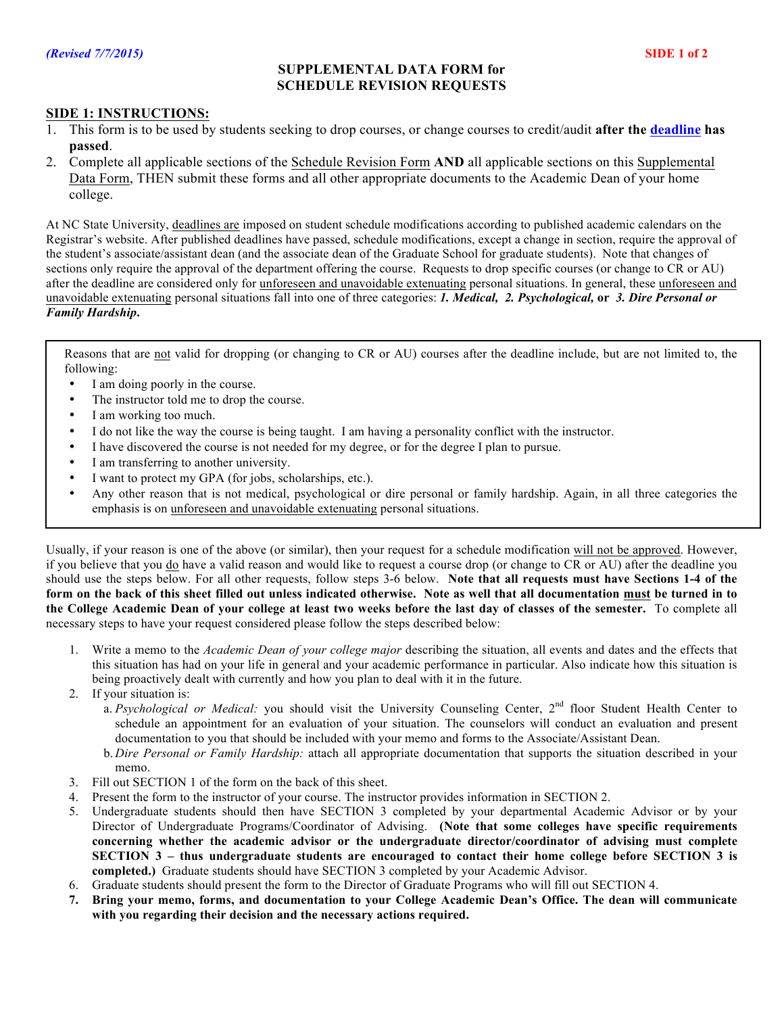## **SUPPLEMENTAL DATA FORM for SCHEDULE REVISION REQUESTS**

## **SIDE 1: INSTRUCTIONS:**

- 1. This form is to be used by students seeking to drop courses, or change courses to credit/audit **after the [deadline](http://registrar.ncsu.edu/calendars/academic/) has passed**.
- 2. Complete all applicable sections of the Schedule Revision Form **AND** all applicable sections on this Supplemental Data Form, THEN submit these forms and all other appropriate documents to the Academic Dean of your home college.

At NC State University, deadlines are imposed on student schedule modifications according to published academic calendars on the Registrar's website. After published deadlines have passed, schedule modifications, except a change in section, require the approval of the student's associate/assistant dean (and the associate dean of the Graduate School for graduate students). Note that changes of sections only require the approval of the department offering the course. Requests to drop specific courses (or change to CR or AU) after the deadline are considered only for unforeseen and unavoidable extenuating personal situations. In general, these unforeseen and unavoidable extenuating personal situations fall into one of three categories: *1. Medical, 2. Psychological,* **or** *3. Dire Personal or Family Hardship***.** 

Reasons that are not valid for dropping (or changing to CR or AU) courses after the deadline include, but are not limited to, the following:

- I am doing poorly in the course.
- The instructor told me to drop the course.
- I am working too much.
- I do not like the way the course is being taught. I am having a personality conflict with the instructor.
- I have discovered the course is not needed for my degree, or for the degree I plan to pursue.
- I am transferring to another university.
- I want to protect my GPA (for jobs, scholarships, etc.).
- Any other reason that is not medical, psychological or dire personal or family hardship. Again, in all three categories the emphasis is on unforeseen and unavoidable extenuating personal situations.

Usually, if your reason is one of the above (or similar), then your request for a schedule modification will not be approved. However, if you believe that you do have a valid reason and would like to request a course drop (or change to CR or AU) after the deadline you should use the steps below. For all other requests, follow steps 3-6 below. **Note that all requests must have Sections 1-4 of the form on the back of this sheet filled out unless indicated otherwise. Note as well that all documentation must be turned in to the College Academic Dean of your college at least two weeks before the last day of classes of the semester.** To complete all necessary steps to have your request considered please follow the steps described below:

- 1. Write a memo to the *Academic Dean of your college major* describing the situation, all events and dates and the effects that this situation has had on your life in general and your academic performance in particular. Also indicate how this situation is being proactively dealt with currently and how you plan to deal with it in the future.
- 2. If your situation is:
	- a. *Psychological or Medical:* you should visit the University Counseling Center, 2<sup>nd</sup> floor Student Health Center to schedule an appointment for an evaluation of your situation. The counselors will conduct an evaluation and present documentation to you that should be included with your memo and forms to the Associate/Assistant Dean.
	- b. *Dire Personal or Family Hardship:* attach all appropriate documentation that supports the situation described in your memo.
- 3. Fill out SECTION 1 of the form on the back of this sheet.
- 4. Present the form to the instructor of your course. The instructor provides information in SECTION 2.
- 5. Undergraduate students should then have SECTION 3 completed by your departmental Academic Advisor or by your Director of Undergraduate Programs/Coordinator of Advising. **(Note that some colleges have specific requirements concerning whether the academic advisor or the undergraduate director/coordinator of advising must complete SECTION 3 – thus undergraduate students are encouraged to contact their home college before SECTION 3 is completed.)** Graduate students should have SECTION 3 completed by your Academic Advisor.
- 6. Graduate students should present the form to the Director of Graduate Programs who will fill out SECTION 4.
- **7. Bring your memo, forms, and documentation to your College Academic Dean's Office. The dean will communicate with you regarding their decision and the necessary actions required.**